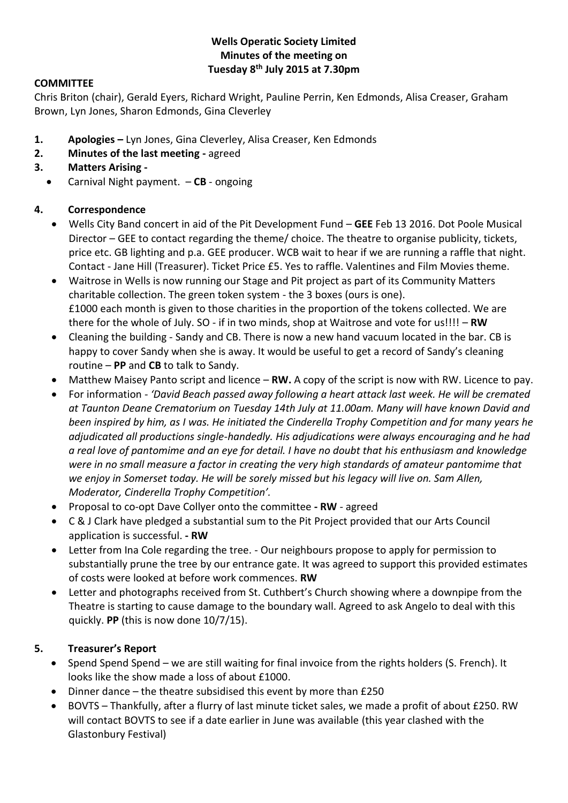### **Wells Operatic Society Limited Minutes of the meeting on Tuesday 8th July 2015 at 7.30pm**

### **COMMITTEE**

Chris Briton (chair), Gerald Eyers, Richard Wright, Pauline Perrin, Ken Edmonds, Alisa Creaser, Graham Brown, Lyn Jones, Sharon Edmonds, Gina Cleverley

- **1. Apologies –** Lyn Jones, Gina Cleverley, Alisa Creaser, Ken Edmonds
- **2. Minutes of the last meeting -** agreed
- **3. Matters Arising -**
	- Carnival Night payment. **CB** ongoing

#### **4. Correspondence**

- Wells City Band concert in aid of the Pit Development Fund **GEE** Feb 13 2016. Dot Poole Musical Director – GEE to contact regarding the theme/ choice. The theatre to organise publicity, tickets, price etc. GB lighting and p.a. GEE producer. WCB wait to hear if we are running a raffle that night. Contact - Jane Hill (Treasurer). Ticket Price £5. Yes to raffle. Valentines and Film Movies theme.
- Waitrose in Wells is now running our Stage and Pit project as part of its Community Matters charitable collection. The green token system - the 3 boxes (ours is one). £1000 each month is given to those charities in the proportion of the tokens collected. We are there for the whole of July. SO - if in two minds, shop at Waitrose and vote for us!!!! – **RW**
- Cleaning the building Sandy and CB. There is now a new hand vacuum located in the bar. CB is happy to cover Sandy when she is away. It would be useful to get a record of Sandy's cleaning routine – **PP** and **CB** to talk to Sandy.
- Matthew Maisey Panto script and licence **RW.** A copy of the script is now with RW. Licence to pay.
- For information *'David Beach passed away following a heart attack last week. He will be cremated at Taunton Deane Crematorium on Tuesday 14th July at 11.00am. Many will have known David and been inspired by him, as I was. He initiated the Cinderella Trophy Competition and for many years he adjudicated all productions single-handedly. His adjudications were always encouraging and he had a real love of pantomime and an eye for detail. I have no doubt that his enthusiasm and knowledge were in no small measure a factor in creating the very high standards of amateur pantomime that we enjoy in Somerset today. He will be sorely missed but his legacy will live on. Sam Allen, Moderator, Cinderella Trophy Competition'.*
- Proposal to co-opt Dave Collyer onto the committee **- RW**  agreed
- C & J Clark have pledged a substantial sum to the Pit Project provided that our Arts Council application is successful. **- RW**
- Letter from Ina Cole regarding the tree. Our neighbours propose to apply for permission to substantially prune the tree by our entrance gate. It was agreed to support this provided estimates of costs were looked at before work commences. **RW**
- Letter and photographs received from St. Cuthbert's Church showing where a downpipe from the Theatre is starting to cause damage to the boundary wall. Agreed to ask Angelo to deal with this quickly. **PP** (this is now done 10/7/15).

# **5. Treasurer's Report**

- Spend Spend Spend we are still waiting for final invoice from the rights holders (S. French). It looks like the show made a loss of about £1000.
- Dinner dance the theatre subsidised this event by more than £250
- BOVTS Thankfully, after a flurry of last minute ticket sales, we made a profit of about £250. RW will contact BOVTS to see if a date earlier in June was available (this year clashed with the Glastonbury Festival)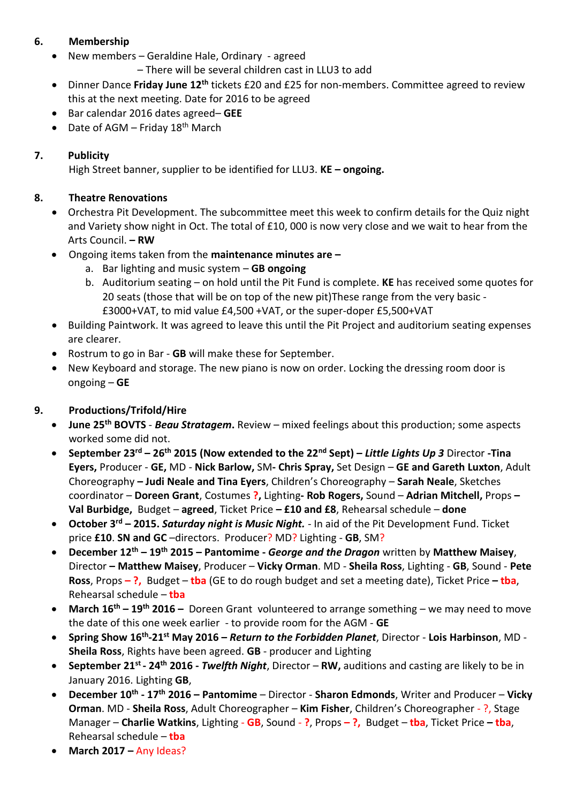## **6. Membership**

New members – Geraldine Hale, Ordinary - agreed

– There will be several children cast in LLU3 to add

- Dinner Dance **Friday June 12th** tickets £20 and £25 for non-members. Committee agreed to review this at the next meeting. Date for 2016 to be agreed
- Bar calendar 2016 dates agreed– **GEE**
- Date of AGM Friday  $18^{th}$  March

# **7. Publicity**

High Street banner, supplier to be identified for LLU3. **KE – ongoing.** 

### **8. Theatre Renovations**

- Orchestra Pit Development. The subcommittee meet this week to confirm details for the Quiz night and Variety show night in Oct. The total of £10, 000 is now very close and we wait to hear from the Arts Council. **– RW**
- Ongoing items taken from the **maintenance minutes are –**
	- a. Bar lighting and music system **GB ongoing**
	- b. Auditorium seating on hold until the Pit Fund is complete. **KE** has received some quotes for 20 seats (those that will be on top of the new pit)These range from the very basic - £3000+VAT, to mid value £4,500 +VAT, or the super-doper £5,500+VAT
- Building Paintwork. It was agreed to leave this until the Pit Project and auditorium seating expenses are clearer.
- Rostrum to go in Bar **GB** will make these for September.
- New Keyboard and storage. The new piano is now on order. Locking the dressing room door is ongoing – **GE**

# **9. Productions/Trifold/Hire**

- **June 25th BOVTS**  *Beau Stratagem***.** Review mixed feelings about this production; some aspects worked some did not.
- **September 23rd – 26th 2015 (Now extended to the 22nd Sept) –** *Little Lights Up 3* Director **-Tina Eyers,** Producer - **GE,** MD - **Nick Barlow,** SM**- Chris Spray,** Set Design – **GE and Gareth Luxton**, Adult Choreography **– Judi Neale and Tina Eyers**, Children's Choreography – **Sarah Neale**, Sketches coordinator – **Doreen Grant**, Costumes **?,** Lighting**- Rob Rogers,** Sound – **Adrian Mitchell,** Props **– Val Burbidge,** Budget – **agreed**, Ticket Price **– £10 and £8**, Rehearsal schedule – **done**
- **October 3rd – 2015.** *Saturday night is Music Night.* In aid of the Pit Development Fund. Ticket price **£10**. **SN and GC** –directors. Producer? MD? Lighting - **GB**, SM?
- **December 12th – 19th 2015 – Pantomime -** *George and the Dragon* written by **Matthew Maisey**, Director **– Matthew Maisey**, Producer – **Vicky Orman**. MD - **Sheila Ross**, Lighting - **GB**, Sound - **Pete Ross**, Props **– ?,** Budget – **tba** (GE to do rough budget and set a meeting date), Ticket Price **– tba**, Rehearsal schedule – **tba**
- **March 16th – 19th 2016 –** Doreen Grant volunteered to arrange something we may need to move the date of this one week earlier - to provide room for the AGM - **GE**
- **Spring Show 16th -21st May 2016 –** *Return to the Forbidden Planet*, Director **Lois Harbinson**, MD **Sheila Ross**, Rights have been agreed. **GB** - producer and Lighting
- **September 21st - 24th 2016 -** *Twelfth Night*, Director **RW,** auditions and casting are likely to be in January 2016. Lighting **GB**,
- **December 10th - 17th 2016 – Pantomime**  Director **Sharon Edmonds**, Writer and Producer **Vicky Orman**. MD - **Sheila Ross**, Adult Choreographer – **Kim Fisher**, Children's Choreographer - ?, Stage Manager – **Charlie Watkins**, Lighting - **GB**, Sound - **?**, Props **– ?,** Budget – **tba**, Ticket Price **– tba**, Rehearsal schedule – **tba**
- **March 2017 –** Any Ideas?